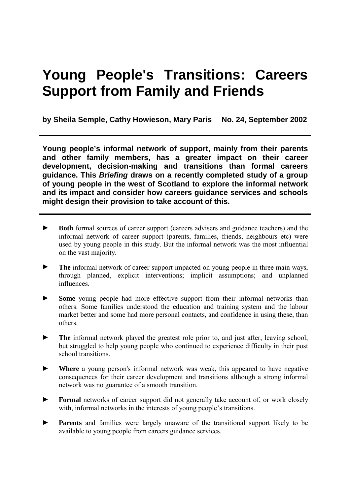# **Young People's Transitions: Careers Support from Family and Friends**

**by Sheila Semple, Cathy Howieson, Mary Paris No. 24, September 2002**

**Young people's informal network of support, mainly from their parents and other family members, has a greater impact on their career development, decision-making and transitions than formal careers guidance. This** *Briefing* **draws on a recently completed study of a group of young people in the west of Scotland to explore the informal network and its impact and consider how careers guidance services and schools might design their provision to take account of this.** 

- ► **Both** formal sources of career support (careers advisers and guidance teachers) and the informal network of career support (parents, families, friends, neighbours etc) were used by young people in this study. But the informal network was the most influential on the vast majority.
- ► **The** informal network of career support impacted on young people in three main ways, through planned, explicit interventions; implicit assumptions; and unplanned influences.
- ► **Some** young people had more effective support from their informal networks than others. Some families understood the education and training system and the labour market better and some had more personal contacts, and confidence in using these, than others.
- ► **The** informal network played the greatest role prior to, and just after, leaving school, but struggled to help young people who continued to experience difficulty in their post school transitions.
- ► **Where** a young person's informal network was weak, this appeared to have negative consequences for their career development and transitions although a strong informal network was no guarantee of a smooth transition.
- ► **Formal** networks of career support did not generally take account of, or work closely with, informal networks in the interests of young people's transitions.
- ► **Parents** and families were largely unaware of the transitional support likely to be available to young people from careers guidance services.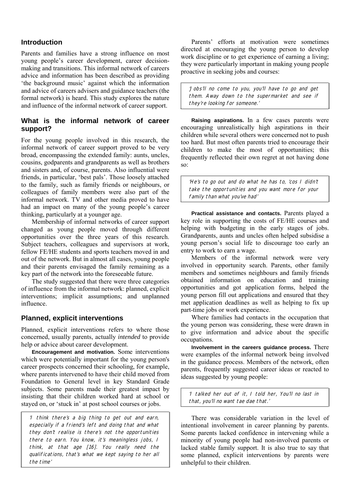## **Introduction**

Parents and families have a strong influence on most young people's career development, career decisionmaking and transitions. This informal network of careers advice and information has been described as providing the background music' against which the information and advice of careers advisers and guidance teachers (the formal network) is heard. This study explores the nature and influence of the informal network of career support.

## **What is the informal network of career support?**

For the young people involved in this research, the informal network of career support proved to be very broad, encompassing the extended family: aunts, uncles, cousins, godparents and grandparents as well as brothers and sisters and, of course, parents. Also influential were friends, in particular, 'best pals'. Those loosely attached to the family, such as family friends or neighbours, or colleagues of family members were also part of the informal network. TV and other media proved to have had an impact on many of the young people's career thinking, particularly at a younger age.

 Membership of informal networks of career support changed as young people moved through different opportunities over the three years of this research. Subject teachers, colleagues and supervisors at work, fellow FE/HE students and sports teachers moved in and out of the network. But in almost all cases, young people and their parents envisaged the family remaining as a key part of the network into the foreseeable future.

 The study suggested that there were three categories of influence from the informal network: planned, explicit interventions; implicit assumptions; and unplanned influence.

## **Planned, explicit interventions**

Planned, explicit interventions refers to where those concerned, usually parents, actually *intended* to provide help or advice about career development.

**Encouragement and motivation.** Some interventions which were potentially important for the young person's career prospects concerned their schooling, for example, where parents intervened to have their child moved from Foundation to General level in key Standard Grade subjects. Some parents made their greatest impact by insisting that their children worked hard at school or stayed on, or 'stuck in' at post school courses or jobs.

'I think there's a big thing to get out and earn, especially if a friend's left and doing that and what they don't realise is there's not the opportunities there to earn. You know, it's meaningless jobs, I think, at that age [16]. You really need the qualifications, that's what we kept saying to her all the time'

Parents' efforts at motivation were sometimes directed at encouraging the young person to develop work discipline or to get experience of earning a living; they were particularly important in making young people proactive in seeking jobs and courses:

'Jobs'll no come to you, you'll have to go and get them. Away down to the supermarket and see if they're looking for someone.'

**Raising aspirations.** In a few cases parents were encouraging unrealistically high aspirations in their children while several others were concerned not to push too hard. But most often parents tried to encourage their children to make the most of opportunities; this frequently reflected their own regret at not having done so:

'He's to go out and do what he has to, 'cos I didn't take the opportunities and you want more for your family than what you've had'

**Practical assistance and contacts.** Parents played a key role in supporting the costs of FE/HE courses and helping with budgeting in the early stages of jobs. Grandparents, aunts and uncles often helped subsidise a young person's social life to discourage too early an entry to work to earn a wage.

 Members of the informal network were very involved in opportunity search. Parents, other family members and sometimes neighbours and family friends obtained information on education and training opportunities and got application forms, helped the young person fill out applications and ensured that they met application deadlines as well as helping to fix up part-time jobs or work experience.

 Where families had contacts in the occupation that the young person was considering, these were drawn in to give information and advice about the specific occupations.

**Involvement in the careers guidance process.** There were examples of the informal network being involved in the guidance process. Members of the network, often parents, frequently suggested career ideas or reacted to ideas suggested by young people:

'I talked her out of it, I told her, You'll no last in that, you'll no want tae dae that.'

 There was considerable variation in the level of intentional involvement in career planning by parents. Some parents lacked confidence in intervening while a minority of young people had non-involved parents or lacked stable family support. It is also true to say that some planned, explicit interventions by parents were unhelpful to their children.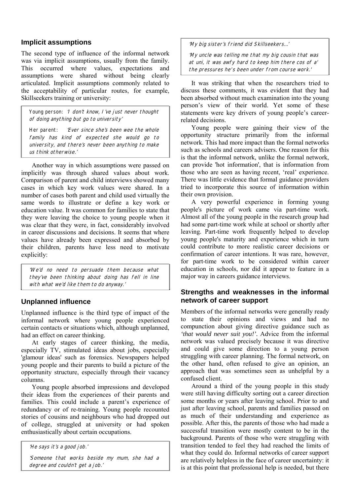#### **Implicit assumptions**

The second type of influence of the informal network was via implicit assumptions, usually from the family. This occurred where values, expectations and assumptions were shared without being clearly articulated. Implicit assumptions commonly related to the acceptability of particular routes, for example, Skillseekers training or university:

Young person: 'I don't know, I've just never thought of doing anything but go to university'

Her parent: 'Ever since she's been wee the whole family has kind of expected she would go to university, and there's never been anything to make us think otherwise.'

 Another way in which assumptions were passed on implicitly was through shared values about work. Comparison of parent and child interviews showed many cases in which key work values were shared. In a number of cases both parent and child used virtually the same words to illustrate or define a key work or education value. It was common for families to state that they were leaving the choice to young people when it was clear that they were, in fact, considerably involved in career discussions and decisions. It seems that where values have already been expressed and absorbed by their children, parents have less need to motivate explicitly:

'We'd no need to persuade them because what they've been thinking about doing has fell in line with what we'd like them to do anyway.'

## **Unplanned influence**

Unplanned influence is the third type of impact of the informal network where young people experienced certain contacts or situations which, although unplanned, had an effect on career thinking.

 At early stages of career thinking, the media, especially TV, stimulated ideas about jobs, especially 'glamour ideas' such as forensics. Newspapers helped young people and their parents to build a picture of the opportunity structure, especially through their vacancy columns.

 Young people absorbed impressions and developed their ideas from the experiences of their parents and families. This could include a parent's experience of redundancy or of re-training. Young people recounted stories of cousins and neighbours who had dropped out of college, struggled at university or had spoken enthusiastically about certain occupations.

'He says it's a good job.'

'Someone that works beside my mum, she had a degree and couldn't get a job.'

'My big sister's friend did Skillseekers…'

'My uncle was telling me that my big cousin that was at uni, it was awfy hard to keep him there cos of a' the pressures he's been under from course work.'

 It was striking that when the researchers tried to discuss these comments, it was evident that they had been absorbed without much examination into the young person's view of their world. Yet some of these statements were key drivers of young people's careerrelated decisions.

 Young people were gaining their view of the opportunity structure primarily from the informal network. This had more impact than the formal networks such as schools and careers advisers. One reason for this is that the informal network, unlike the formal network, can provide 'hot information', that is information from those who are seen as having recent, 'real' experience. There was little evidence that formal guidance providers tried to incorporate this source of information within their own provision.

 A very powerful experience in forming young people's picture of work came via part-time work. Almost all of the young people in the research group had had some part-time work while at school or shortly after leaving. Part-time work frequently helped to develop young people's maturity and experience which in turn could contribute to more realistic career decisions or confirmation of career intentions. It was rare, however, for part-time work to be considered within career education in schools, nor did it appear to feature in a major way in careers guidance interviews.

## **Strengths and weaknesses in the informal network of career support**

Members of the informal networks were generally ready to state their opinions and views and had no compunction about giving directive guidance such as *'that would never suit you!'.* Advice from the informal network was valued precisely because it was directive and could give some direction to a young person struggling with career planning. The formal network, on the other hand, often refused to give an opinion, an approach that was sometimes seen as unhelpful by a confused client.

 Around a third of the young people in this study were still having difficulty sorting out a career direction some months or years after leaving school. Prior to and just after leaving school, parents and families passed on as much of their understanding and experience as possible. After this, the parents of those who had made a successful transition were mostly content to be in the background. Parents of those who were struggling with transition tended to feel they had reached the limits of what they could do. Informal networks of career support are relatively helpless in the face of career uncertainty: it is at this point that professional help is needed, but there